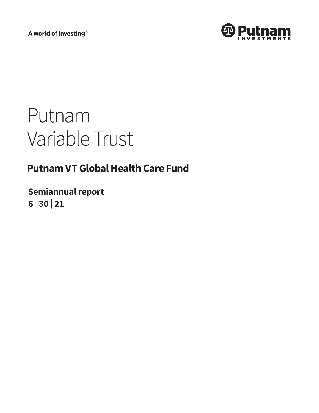A world of investing®



# Putnam Variable Trust

# **Putnam VT Global Health Care Fund**

**Semiannual report 6 <sup>|</sup> 30 <sup>|</sup> 21**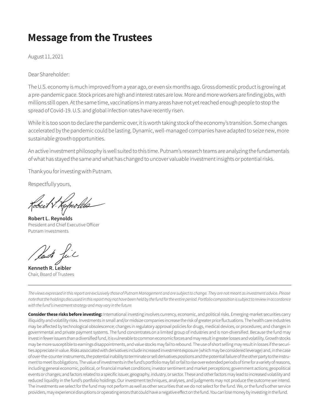# **Message from the Trustees**

August 11, 2021

Dear Shareholder:

The U.S. economy is much improved from a year ago, or even six months ago. Gross domestic product is growing at a pre-pandemic pace. Stock prices are high and interest rates are low. More and more workers are finding jobs, with millions still open. At the same time, vaccinations in many areas have not yet reached enough people to stop the spread of Covid-19. U.S. and global infection rates have recently risen.

While it is too soon to declare the pandemic over, it is worth taking stock of the economy's transition. Some changes accelerated by the pandemic could be lasting. Dynamic, well-managed companies have adapted to seize new, more sustainable growth opportunities.

An active investment philosophy is well suited to this time. Putnam's research teams are analyzing the fundamentals of what has stayed the same and what has changed to uncover valuable investment insights or potential risks.

Thank you for investing with Putnam.

Respectfully yours,

**Robert L. Reynolds** President and Chief Executive Officer Putnam Investments

**Kenneth R. Leibler** Chair, Board of Trustees

*The views expressed in this report are exclusively those of Putnam Management and are subject to change. They are not meant as investment advice. Please note that the holdings discussed in this report may not have been held by the fund for the entire period. Portfolio composition is subject to review in accordance with the fund's investment strategy and may vary in the future.*

**Consider these risks before investing:** International investing involves currency, economic, and political risks. Emerging-market securities carry illiquidity and volatility risks. Investments in small and/or midsize companies increase the risk of greater price fluctuations. The health care industries may be affected by technological obsolescence; changes in regulatory approval policies for drugs, medical devices, or procedures; and changes in governmental and private payment systems. The fund concentrates on a limited group of industries and is non-diversified. Because the fund may invest in fewer issuers than a diversified fund, it is vulnerable to common economic forces and may result in greater losses and volatility. Growth stocks may be more susceptible to earnings disappointments, and value stocks may fail to rebound. The use of short selling may result in losses if the securities appreciate in value. Risks associated with derivatives include increased investment exposure (which may be considered leverage) and, in the case of over-the-counter instruments, the potential inability to terminate or sell derivatives positions and the potential failure of the other party to the instrument to meet its obligations. The value of investments in the fund's portfolio may fall or fail to rise over extended periods of time for a variety of reasons, including general economic, political, or financial market conditions; investor sentiment and market perceptions; government actions; geopolitical events or changes; and factors related to a specific issuer, geography, industry, or sector. These and other factors may lead to increased volatility and reduced liquidity in the fund's portfolio holdings. Our investment techniques, analyses, and judgments may not produce the outcome we intend. The investments we select for the fund may not perform as well as other securities that we do not select for the fund. We, or the fund's other service providers, may experience disruptions or operating errors that could have a negative effect on the fund. You can lose money by investing in the fund.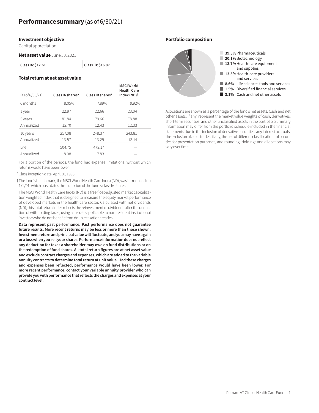#### **Investment objective**

Capital appreciation

#### **Net asset value** June 30, 2021

| Class IA: \$17.61 |  |
|-------------------|--|
|-------------------|--|

## **Total return at net asset value**

| (as of 6/30/21) | Class IA shares* | Class IB shares* | <b>MSCI World</b><br><b>Health Care</b><br>Index $(ND)$ <sup>†</sup> |
|-----------------|------------------|------------------|----------------------------------------------------------------------|
| 6 months        | 8.05%            | 7.89%            | 9.92%                                                                |
| 1 year          | 22.97            | 22.66            | 23.04                                                                |
| 5 years         | 81.84            | 79.66            | 78.88                                                                |
| Annualized      | 12.70            | 12.43            | 12.33                                                                |
| 10 years        | 257.08           | 248.37           | 243.81                                                               |
| Annualized      | 13.57            | 13.29            | 13.14                                                                |
| l ife           | 504.75           | 473.17           |                                                                      |
| Annualized      | 8.08             | 7.83             |                                                                      |

**Class IA: \$17.61 Class IB: \$16.87**

For a portion of the periods, the fund had expense limitations, without which returns would have been lower.

\*Class inception date: April 30, 1998.

†The fund's benchmark, the MSCI World Health Care Index (ND), was introduced on 1/1/01, which post-dates the inception of the fund's class IA shares.

The MSCI World Health Care Index (ND) is a free float-adjusted market capitalization weighted index that is designed to measure the equity market performance of developed markets in the health-care sector. Calculated with net dividends (ND), this total return index reflects the reinvestment of dividends after the deduction of withholding taxes, using a tax rate applicable to non-resident institutional investors who do not benefit from double taxation treaties.

**Data represent past performance. Past performance does not guarantee future results. More recent returns may be less or more than those shown. Investment return and principal value will fluctuate, and you may have a gain or a loss when you sell your shares. Performance information does not reflect any deduction for taxes a shareholder may owe on fund distributions or on the redemption of fund shares. All total return figures are at net asset value and exclude contract charges and expenses, which are added to the variable annuity contracts to determine total return at unit value. Had these charges and expenses been reflected, performance would have been lower. For more recent performance, contact your variable annuity provider who can provide you with performance that reflects the charges and expenses at your contract level.**

#### **Portfolio composition**



Allocations are shown as a percentage of the fund's net assets. Cash and net other assets, if any, represent the market value weights of cash, derivatives, short-term securities, and other unclassified assets in the portfolio. Summary information may differ from the portfolio schedule included in the financial statements due to the inclusion of derivative securities, any interest accruals, the exclusion of as-of trades, if any, the use of different classifications of securities for presentation purposes, and rounding. Holdings and allocations may vary over time.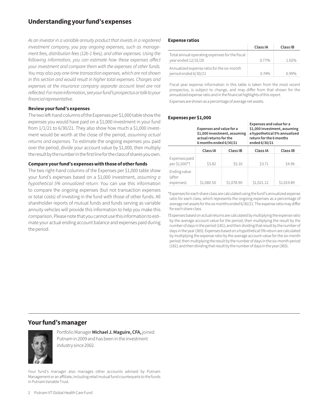# **Understanding your fund's expenses**

*As an investor in a variable annuity product that invests in a registered investment company, you pay ongoing expenses, such as management fees, distribution fees (12b-1 fees), and other expenses. Using the following information, you can estimate how these expenses affect your investment and compare them with the expenses of other funds. You may also pay one-time transaction expenses, which are not shown in this section and would result in higher total expenses. Charges and*  expenses at the insurance company separate account level are not *reflected. For more information, see your fund's prospectus or talk to your financial representative.*

#### **Review your fund's expenses**

The two left-hand columns of the Expenses per \$1,000 table show the expenses you would have paid on a \$1,000 investment in your fund from  $1/1/21$  to  $6/30/21$ . They also show how much a \$1,000 investment would be worth at the close of the period, *assuming actual returns and expenses.* To estimate the ongoing expenses you paid over the period, divide your account value by \$1,000, then multiply the result by the number in the first line for the class of shares you own.

#### **Compare your fund's expenses with those of other funds**

The two right-hand columns of the Expenses per \$1,000 table show your fund's expenses based on a \$1,000 investment, *assuming a hypothetical 5% annualized return.* You can use this information to compare the ongoing expenses (but not transaction expenses or total costs) of investing in the fund with those of other funds. All shareholder reports of mutual funds and funds serving as variable annuity vehicles will provide this information to help you make this comparison. Please note that you cannot use this information to estimate your actual ending account balance and expenses paid during the period.

#### **Expense ratios**

|                                                                       | Class IA | Class IB |
|-----------------------------------------------------------------------|----------|----------|
| Total annual operating expenses for the fiscal<br>year ended 12/31/20 | 0.77%    | 1.02%    |
| Annualized expense ratio for the six-month<br>period ended 6/30/21    | 0.74%    | N 99%    |

Fiscal year expense information in this table is taken from the most recent prospectus, is subject to change, and may differ from that shown for the annualized expense ratio and in the financial highlights of this report.

Expenses are shown as a percentage of average net assets.

#### **Expenses per \$1,000**

|                                     | Expenses and value for a<br>\$1,000 investment, assuming<br>actual returns for the<br>6 months ended 6/30/21 |            | Expenses and value for a<br>\$1,000 investment, assuming<br>return for the 6 months<br>ended 6/30/21 | a hypothetical 5% annualized |
|-------------------------------------|--------------------------------------------------------------------------------------------------------------|------------|------------------------------------------------------------------------------------------------------|------------------------------|
|                                     | Class IA                                                                                                     | Class IB   | Class IA                                                                                             | Class IB                     |
| Expenses paid<br>per \$1,000*†      | \$3.82                                                                                                       | \$5.10     | \$3.71                                                                                               | \$4.96                       |
| Ending value<br>(after<br>expenses) | \$1,080.50                                                                                                   | \$1,078.90 | \$1,021.12                                                                                           | \$1,019.89                   |

\*Expenses for each share class are calculated using the fund's annualized expense ratio for each class, which represents the ongoing expenses as a percentage of average net assets for the six months ended 6/30/21. The expense ratio may differ for each share class.

†Expenses based on actual returns are calculated by multiplying the expense ratio by the average account value for the period; then multiplying the result by the number of days in the period (181); and then dividing that result by the number of days in the year (365). Expenses based on a hypothetical 5% return are calculated by multiplying the expense ratio by the average account value for the six-month period; then multiplying the result by the number of days in the six-month period (181); and then dividing that result by the number of days in the year (365).

### **Your fund's manager**



Portfolio Manager **Michael J. Maguire, CFA,** joined Putnam in 2009 and has been in the investment industry since 2002.

Your fund's manager also manages other accounts advised by Putnam Management or an affiliate, including retail mutual fund counterparts to the funds in Putnam Variable Trust.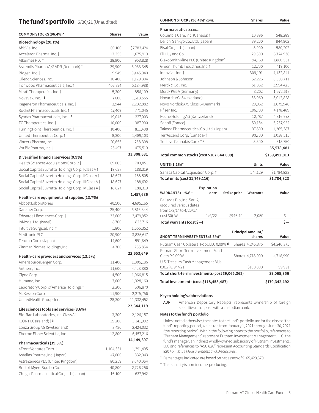# **The fund's portfolio** 6/30/21 (Unaudited)

| COMMON STOCKS (96.4%)*                                            | <b>Shares</b> | Value                    |
|-------------------------------------------------------------------|---------------|--------------------------|
| Biotechnology (20.1%)                                             |               |                          |
| AbbVie, Inc.                                                      | 69,100        | \$7,783,424              |
| Acceleron Pharma, Inc. †                                          | 13,355        | 1,675,919                |
| Alkermes PLC †                                                    | 38,900        | 953,828                  |
| Ascendis Pharma A/S ADR (Denmark) †                               | 29,900        | 3,933,345                |
| Biogen, Inc. †                                                    | 9,949         | 3,445,040                |
| Gilead Sciences, Inc.                                             | 16,400        | 1,129,304                |
| Ironwood Pharmaceuticals, Inc. †                                  | 402,874       | 5,184,988                |
| Mirati Therapeutics, Inc. †                                       | 5,300         | 856,109                  |
| Novavax, Inc. † <b>s</b>                                          | 7,600         | 1,613,556                |
| Regeneron Pharmaceuticals, Inc. †                                 | 3,944         | 2,202,882                |
| Rocket Pharmaceuticals, Inc. 1                                    | 17,409        | 771,045                  |
| Syndax Pharmaceuticals, Inc. <sup>† S</sup>                       | 19,045        | 327,003                  |
| TG Therapeutics, Inc. 1                                           | 10,000        | 387,900                  |
| Turning Point Therapeutics, Inc. †                                | 10,400        | 811,408                  |
| United Therapeutics Corp. †                                       | 8,300         | 1,489,103                |
| Vincerx Pharma, Inc. 1                                            | 20,655        | 268,308                  |
| Vor BioPharma, Inc. †                                             | 25,497        | 475,519                  |
| Diversified financial services (0.9%)                             |               | 33,308,681               |
| Health Sciences Acquisitions Corp. 2                              | 69,005        | 703,851                  |
| Social Capital Suvretta Holdings Corp. I Class A +                | 18,627        | 188,319                  |
| Social Capital Suvretta Holdings Corp. II Class A <sup>+</sup>    | 18,627        | 188,505                  |
| Social Capital Suvretta Holdings Corp. III Class A +              | 18,627        | 188,692                  |
| Social Capital Suvretta Holdings Corp. IV Class A +               | 18,627        | 188,319                  |
|                                                                   |               | 1,457,686                |
| Health-care equipment and supplies (13.7%)<br>Abbott Laboratories | 40,500        | 4,695,165                |
| Danaher Corp.                                                     | 25,400        | 6,816,344                |
| Edwards Lifesciences Corp. †                                      | 33,600        | 3,479,952                |
| InMode, Ltd. (Israel) †                                           | 8,700         | 823,716                  |
| Intuitive Surgical, Inc. 1                                        | 1,800         | 1,655,352                |
| Medtronic PLC                                                     | 30,900        | 3,835,617                |
| Terumo Corp. (Japan)                                              | 14,600        | 591,649                  |
| Zimmer Biomet Holdings, Inc.                                      | 4,700         | 755,854                  |
|                                                                   |               | 22,653,649               |
| Health-care providers and services (13.5%)                        |               |                          |
| AmerisourceBergen Corp.                                           | 11,400        | 1,305,186                |
| Anthem, Inc.                                                      | 11,600        | 4,428,880                |
| Cigna Corp.                                                       | 4,500         | 1,066,815                |
| Humana, Inc.                                                      | 3,000         | 1,328,160                |
| Laboratory Corp. of America Holdings †                            | 2,200         | 606,870                  |
| McKesson Corp.                                                    | 11,900        | 2,275,756                |
| UnitedHealth Group, Inc.                                          | 28,300        | 11,332,452<br>22,344,119 |
| Life sciences tools and services (8.6%)                           |               |                          |
| Bio-Rad Laboratories, Inc. Class A                                | 3,300         | 2,126,157                |
| ICON PLC (Ireland)   \$                                           | 15,200        | 3,141,992                |
| Lonza Group AG (Switzerland)                                      | 3,420         | 2,424,032                |
| Thermo Fisher Scientific, Inc.                                    | 12,800        | 6,457,216                |
| Pharmaceuticals (39.6%)                                           |               | 14,149,397               |
| 4Front Ventures Corp. †                                           | 1,104,361     | 1,391,495                |
| Astellas Pharma, Inc. (Japan)                                     | 47,800        | 832,343                  |
| AstraZeneca PLC (United Kingdom)                                  | 80,259        | 9,640,064                |
| Bristol-Myers Squibb Co.                                          | 40,800        | 2,726,256                |
| Chugai Pharmaceutical Co., Ltd. (Japan)                           | 16,100        | 637,942                  |

| COMMON STOCKS (96.4%)* cont.                                          |                    |              | <b>Shares</b>     | Value                      |
|-----------------------------------------------------------------------|--------------------|--------------|-------------------|----------------------------|
| Pharmaceuticals cont.                                                 |                    |              |                   |                            |
| Columbia Care, Inc. (Canada) †                                        |                    |              | 10,396            | \$48,289                   |
| Daiichi Sankyo Co., Ltd. (Japan)                                      |                    |              | 39,200            | 844,902                    |
| Eisai Co., Ltd. (Japan)                                               |                    |              | 5,900             | 580,202                    |
| Eli Lilly and Co.                                                     |                    |              | 29,300            | 6,724,936                  |
| GlaxoSmithKline PLC (United Kingdom)                                  |                    |              | 94,759            | 1,860,551                  |
| Green Thumb Industries, Inc. 1                                        |                    |              | 12,700            | 419,100                    |
| Innoviva, Inc.†                                                       |                    |              | 308,191           | 4,132,841                  |
| Johnson & Johnson                                                     |                    |              | 52,226            | 8,603,711                  |
| Merck & Co., Inc.                                                     |                    |              | 51,362            | 3,994,423                  |
| Merck KGaA (Germany)                                                  |                    |              | 8,202             | 1,572,617                  |
| Novartis AG (Switzerland)                                             |                    |              | 33,060            | 3,012,828                  |
| Novo Nordisk A/S Class B (Denmark)                                    |                    |              | 20,052            | 1,679,940                  |
| Pfizer, Inc.                                                          |                    |              | 106,703           | 4,178,489                  |
| Roche Holding AG (Switzerland)                                        |                    |              | 12,787            | 4,816,978                  |
| Sanofi (France)                                                       |                    |              | 50,184            | 5,257,922                  |
| Takeda Pharmaceutical Co., Ltd. (Japan)                               |                    |              | 37,800            | 1,265,387                  |
| TerrAscend Corp. (Canada) †                                           |                    |              | 90,700            | 1,038,515                  |
| Trulieve Cannabis Corp. <sup>† S</sup>                                |                    |              | 8,500             | 318,750                    |
|                                                                       |                    |              |                   | 65,578,481                 |
|                                                                       |                    |              |                   |                            |
| Total common stocks (cost \$107,644,009)                              |                    |              |                   | \$159,492,013              |
|                                                                       |                    |              | Units             | Value                      |
| UNITS $(1.1\%)^*$                                                     |                    |              |                   |                            |
| Sarissa Capital Acquisition Corp. †<br>Total units (cost \$1,749,116) |                    |              | 174,129           | \$1,784,823<br>\$1,784,823 |
|                                                                       |                    |              |                   |                            |
| WARRANTS $(-\%)^*$ †                                                  | Expiration<br>date | Strike price | Warrants          | Value                      |
| Palisade Bio, Inc. Ser. K,                                            |                    |              |                   |                            |
| (acquired various dates                                               |                    |              |                   |                            |
| from 1/3/14 to 4/20/17,                                               |                    |              |                   |                            |
| cost \$0)∆∆                                                           | 1/9/22             | \$946.40     | 2,050             |                            |
| Total warrants (cost $\zeta$ -)                                       |                    |              |                   | Ś-                         |
|                                                                       |                    |              | Principal amount/ |                            |
| SHORT-TERM INVESTMENTS (5.5%)*                                        |                    |              | shares            | Value                      |
| Putnam Cash Collateral Pool, LLC 0.09% d                              |                    |              | Shares 4,246,375  | \$4,246,375                |
| Putnam Short Term Investment Fund<br>$ClassP0.09\%L$                  |                    |              | Shares 4,718,990  | 4,718,990                  |
| U.S. Treasury Cash Management Bills<br>0.017%, 9/7/21                 |                    |              | \$100,000         | 99,991                     |
| Total short-term investments (cost \$9,065,362)                       |                    |              |                   | \$9,065,356                |

#### **Key to holding's abbreviations**

ADR American Depository Receipts: represents ownership of foreign securities on deposit with a custodian bank.

#### **Notes to the fund's portfolio**

Unless noted otherwise, the notes to the fund's portfolio are for the close of the fund's reporting period, which ran from January 1, 2021 through June 30, 2021 (the reporting period). Within the following notes to the portfolio, references to "Putnam Management" represent Putnam Investment Management, LLC, the fund's manager, an indirect wholly-owned subsidiary of Putnam Investments, LLC and references to "ASC 820" represent Accounting Standards Codification 820 *Fair Value Measurements and Disclosures*.

\* Percentages indicated are based on net assets of \$165,429,370.

† This security is non-income-producing.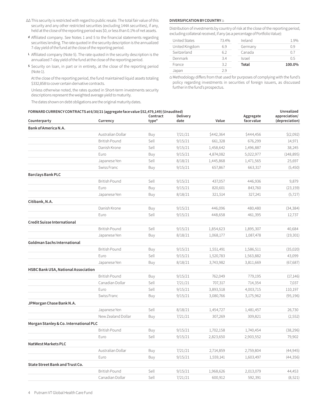- ∆∆ This security is restricted with regard to public resale. The total fair value of this security and any other restricted securities (excluding 144A securities), if any, held at the close of the reporting period was \$0, or less than 0.1% of net assets.
- **<sup>d</sup>** Affiliated company. See Notes 1 and 5 to the financial statements regarding securities lending. The rate quoted in the security description is the annualized 7-day yield of the fund at the close of the reporting period.
- **<sup>L</sup>** Affiliated company (Note 5). The rate quoted in the security description is the annualized 7-day yield of the fund at the close of the reporting period.
- **<sup>S</sup>** Security on loan, in part or in entirety, at the close of the reporting period (Note 1).

At the close of the reporting period, the fund maintained liquid assets totaling \$332,858 to cover certain derivative contracts.

Unless otherwise noted, the rates quoted in Short-term investments security descriptions represent the weighted average yield to maturity.

The dates shown on debt obligations are the original maturity dates.

#### **DIVERSIFICATION BY COUNTRY** ⌂

Distribution of investments by country of risk at the close of the reporting period, excluding collateral received, if any (as a percentage of Portfolio Value):

| <b>United States</b> | 73.4% | Ireland       | 1.9%   |
|----------------------|-------|---------------|--------|
| United Kingdom       | 6.9   | Germany       | 09     |
| Switzerland          | 6.2   | Canada        | 07     |
| Denmark              | 34    | <b>Israel</b> | 0.5    |
| France               | 3.2   | Total         | 100.0% |
| Japan                | 29    |               |        |

⌂ Methodology differs from that used for purposes of complying with the fund's policy regarding investments in securities of foreign issuers, as discussed further in the fund's prospectus.

#### **FORWARD CURRENCY CONTRACTS at 6/30/21 (aggregate face value \$52,479,149) (Unaudited) Unrealized**

| Counterparty                           | Currency             | Contract<br>type* | <b>Delivery</b><br>date | Value     | Aggregate<br>face value | appreciation/<br>(depreciation) |
|----------------------------------------|----------------------|-------------------|-------------------------|-----------|-------------------------|---------------------------------|
| Bank of America N.A.                   |                      |                   |                         |           |                         |                                 |
|                                        | Australian Dollar    | Buy               | 7/21/21                 | \$442,364 | \$444,456               | \$(2,092)                       |
|                                        | <b>British Pound</b> | Sell              | 9/15/21                 | 661,328   | 676,299                 | 14,971                          |
|                                        | Danish Krone         | Sell              | 9/15/21                 | 1,458,642 | 1,496,887               | 38,245                          |
|                                        | Euro                 | Buy               | 9/15/21                 | 4,874,082 | 5,022,977               | (148, 895)                      |
|                                        | Japanese Yen         | Sell              | 8/18/21                 | 1,445,868 | 1,471,565               | 25,697                          |
|                                        | Swiss Franc          | Buy               | 9/15/21                 | 657,867   | 663,317                 | (5,450)                         |
| <b>Barclays Bank PLC</b>               |                      |                   |                         |           |                         |                                 |
|                                        | <b>British Pound</b> | Sell              | 9/15/21                 | 437,057   | 446,936                 | 9,879                           |
|                                        | Euro                 | Buy               | 9/15/21                 | 820,601   | 843,760                 | (23, 159)                       |
|                                        | Japanese Yen         | Buy               | 8/18/21                 | 321,514   | 327,241                 | (5, 727)                        |
| Citibank, N.A.                         |                      |                   |                         |           |                         |                                 |
|                                        | Danish Krone         | Buy               | 9/15/21                 | 446,096   | 480,480                 | (34, 384)                       |
|                                        | Euro                 | Sell              | 9/15/21                 | 448,658   | 461,395                 | 12,737                          |
| <b>Credit Suisse International</b>     |                      |                   |                         |           |                         |                                 |
|                                        | <b>British Pound</b> | Sell              | 9/15/21                 | 1,854,623 | 1,895,307               | 40,684                          |
|                                        | Japanese Yen         | Buy               | 8/18/21                 | 1,068,177 | 1,087,478               | (19, 301)                       |
| Goldman Sachs International            |                      |                   |                         |           |                         |                                 |
|                                        | <b>British Pound</b> | Buy               | 9/15/21                 | 1,551,491 | 1,586,511               | (35,020)                        |
|                                        | Euro                 | Sell              | 9/15/21                 | 1,520,783 | 1,563,882               | 43,099                          |
|                                        | Japanese Yen         | Buy               | 8/18/21                 | 3,743,982 | 3,811,669               | (67, 687)                       |
| HSBC Bank USA, National Association    |                      |                   |                         |           |                         |                                 |
|                                        | <b>British Pound</b> | Buy               | 9/15/21                 | 762,049   | 779,195                 | (17, 146)                       |
|                                        | Canadian Dollar      | Sell              | 7/21/21                 | 707,317   | 714,354                 | 7,037                           |
|                                        | Euro                 | Sell              | 9/15/21                 | 3,893,518 | 4,003,715               | 110,197                         |
|                                        | Swiss Franc          | Buy               | 9/15/21                 | 3,080,766 | 3,175,962               | (95, 196)                       |
| JPMorgan Chase Bank N.A.               |                      |                   |                         |           |                         |                                 |
|                                        | Japanese Yen         | Sell              | 8/18/21                 | 1,454,727 | 1,481,457               | 26,730                          |
|                                        | New Zealand Dollar   | Buy               | 7/21/21                 | 307,269   | 309,821                 | (2, 552)                        |
| Morgan Stanley & Co. International PLC |                      |                   |                         |           |                         |                                 |
|                                        | <b>British Pound</b> | Buy               | 9/15/21                 | 1,702,158 | 1,740,454               | (38, 296)                       |
|                                        | Euro                 | Sell              | 9/15/21                 | 2,823,650 | 2,903,552               | 79,902                          |
| <b>NatWest Markets PLC</b>             |                      |                   |                         |           |                         |                                 |
|                                        | Australian Dollar    | Buy               | 7/21/21                 | 2,714,859 | 2,759,804               | (44, 945)                       |
|                                        | Euro                 | Buy               | 9/15/21                 | 1,559,141 | 1,603,497               | (44, 356)                       |
| State Street Bank and Trust Co.        |                      |                   |                         |           |                         |                                 |
|                                        | <b>British Pound</b> | Sell              | 9/15/21                 | 1,968,626 | 2,013,079               | 44,453                          |
|                                        | Canadian Dollar      | Sell              | 7/21/21                 | 600,912   | 592,391                 | (8,521)                         |
|                                        |                      |                   |                         |           |                         |                                 |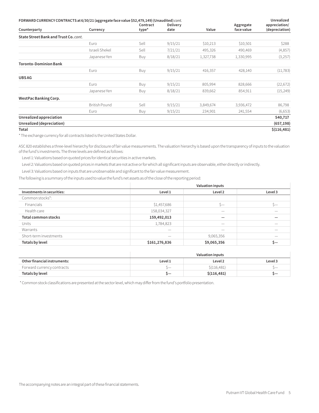| FORWARD CURRENCY CONTRACTS at 6/30/21 (aggregate face value \$52,479,149) (Unaudited) cont. |                      |          |                 |           | Unrealized |                |
|---------------------------------------------------------------------------------------------|----------------------|----------|-----------------|-----------|------------|----------------|
|                                                                                             |                      | Contract | <b>Delivery</b> |           | Aggregate  | appreciation/  |
| Counterparty                                                                                | Currency             | type*    | date            | Value     | face value | (depreciation) |
| State Street Bank and Trust Co. cont.                                                       |                      |          |                 |           |            |                |
|                                                                                             | Euro                 | Sell     | 9/15/21         | \$10,213  | \$10,501   | \$288          |
|                                                                                             | Israeli Shekel       | Sell     | 7/21/21         | 495,326   | 490,469    | (4,857)        |
|                                                                                             | Japanese Yen         | Buy      | 8/18/21         | 1,327,738 | 1,330,995  | (3,257)        |
| <b>Toronto-Dominion Bank</b>                                                                |                      |          |                 |           |            |                |
|                                                                                             | Euro                 | Buy      | 9/15/21         | 416,357   | 428,140    | (11, 783)      |
| <b>UBSAG</b>                                                                                |                      |          |                 |           |            |                |
|                                                                                             | Euro                 | Buy      | 9/15/21         | 805,994   | 828,666    | (22, 672)      |
|                                                                                             | Japanese Yen         | Buy      | 8/18/21         | 839,662   | 854,911    | (15, 249)      |
| WestPac Banking Corp.                                                                       |                      |          |                 |           |            |                |
|                                                                                             | <b>British Pound</b> | Sell     | 9/15/21         | 3,849,674 | 3,936,472  | 86,798         |
|                                                                                             | Euro                 | Buy      | 9/15/21         | 234,901   | 241,554    | (6,653)        |
| Unrealized appreciation                                                                     |                      |          |                 |           |            | 540,717        |
| Unrealized (depreciation)                                                                   |                      |          |                 |           |            | (657, 198)     |
| Total                                                                                       |                      |          |                 |           |            | \$(116, 481)   |

\* The exchange currency for all contracts listed is the United States Dollar.

ASC 820 establishes a three-level hierarchy for disclosure of fair value measurements. The valuation hierarchy is based upon the transparency of inputs to the valuation of the fund's investments. The three levels are defined as follows:

Level 1: Valuations based on quoted prices for identical securities in active markets.

Level 2: Valuations based on quoted prices in markets that are not active or for which all significant inputs are observable, either directly or indirectly.

Level 3: Valuations based on inputs that are unobservable and significant to the fair value measurement.

The following is a summary of the inputs used to value the fund's net assets as of the close of the reporting period:

|                            | Valuation inputs |             |         |  |
|----------------------------|------------------|-------------|---------|--|
| Investments in securities: | Level 1          | Level 2     | Level 3 |  |
| Common stocks*:            |                  |             |         |  |
| Financials                 | \$1,457,686      | $S-$        |         |  |
| Health care                | 158,034,327      |             |         |  |
| Total common stocks        | 159,492,013      | –           |         |  |
| Units                      | 1,784,823        |             |         |  |
| Warrants                   |                  | –           |         |  |
| Short-term investments     | –                | 9,065,356   |         |  |
| Totals by level            | \$161,276,836    | \$9,065,356 |         |  |

|                              | <b>Valuation inputs</b>  |              |         |  |
|------------------------------|--------------------------|--------------|---------|--|
| Other financial instruments: | Level 1                  | Level 2      | Level 3 |  |
| Forward currency contracts   | $\overline{\phantom{a}}$ | \$(116, 481) |         |  |
| Totals by level              | <u>. –</u>               | \$(116, 481) |         |  |

\* Common stock classifications are presented at the sector level, which may differ from the fund's portfolio presentation.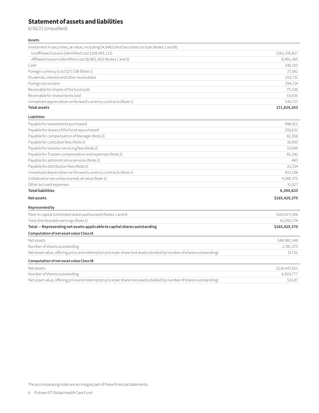# **Statement of assets and liabilities**

6/30/21 (Unaudited)

#### **Assets**

| Investment in securities, at value, including \$4,048,024 of securities on loan (Notes 1 and 8):                    |               |
|---------------------------------------------------------------------------------------------------------------------|---------------|
| Unaffiliated issuers (identified cost \$109,493,122)                                                                | \$161,376,827 |
| Affiliated issuers (identified cost \$8,965,365) (Notes 1 and 5)                                                    | 8,965,365     |
| Cash                                                                                                                | 336,103       |
| Foreign currency (cost \$27,718) (Note 1)                                                                           | 27,581        |
| Dividends, interest and other receivables                                                                           | 153,731       |
| Foreign tax reclaim                                                                                                 | 294,714       |
| Receivable for shares of the fund sold                                                                              | 75,530        |
| Receivable for investments sold                                                                                     | 53,635        |
| Unrealized appreciation on forward currency contracts (Note 1)                                                      | 540,717       |
| <b>Total assets</b>                                                                                                 | 171,824,203   |
| Liabilities                                                                                                         |               |
| Payable for investments purchased                                                                                   | 998,013       |
| Payable for shares of the fund repurchased                                                                          | 259,632       |
| Payable for compensation of Manager (Note 2)                                                                        | 82,356        |
| Payable for custodian fees (Note 2)                                                                                 | 10,993        |
| Payable for investor servicing fees (Note 2)                                                                        | 19,090        |
| Payable for Trustee compensation and expenses (Note 2)                                                              | 65,342        |
| Payable for administrative services (Note 2)                                                                        | 483           |
| Payable for distribution fees (Note 2)                                                                              | 23,724        |
| Unrealized depreciation on forward currency contracts (Note 1)                                                      | 657,198       |
| Collateral on securities loaned, at value (Note 1)                                                                  | 4,246,375     |
| Other accrued expenses                                                                                              | 31,627        |
| <b>Total liabilities</b>                                                                                            | 6,394,833     |
| <b>Net assets</b>                                                                                                   | \$165,429,370 |
| Represented by                                                                                                      |               |
| Paid-in capital (Unlimited shares authorized) (Notes 1 and 4)                                                       | \$103,473,596 |
| Total distributable earnings (Note 1)                                                                               | 61,955,774    |
| Total - Representing net assets applicable to capital shares outstanding                                            | \$165,429,370 |
| Computation of net asset value Class IA                                                                             |               |
| Net assets                                                                                                          | \$48,981,549  |
| Number of shares outstanding                                                                                        | 2,781,375     |
| Net asset value, offering price and redemption price per share (net assets divided by number of shares outstanding) | \$17.61       |
| Computation of net asset value Class IB                                                                             |               |
| Net assets                                                                                                          | \$116,447,821 |
| Number of charge outctanding                                                                                        | G 003 777     |

Number of shares outstanding 6,903,777 Net asset value, offering price and redemption price per share (net assets divided by number of shares outstanding) \$16.87

The accompanying notes are an integral part of these financial statements.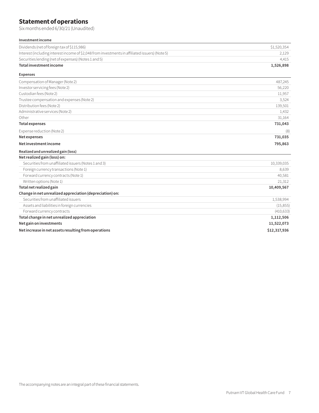# **Statement of operations**

Six months ended 6/30/21 (Unaudited)

| <b>Investment income</b> |  |
|--------------------------|--|
|--------------------------|--|

| Dividends (net of foreign tax of \$115,986)                                                     | \$1,520,354  |
|-------------------------------------------------------------------------------------------------|--------------|
| Interest (including interest income of \$2,048 from investments in affiliated issuers) (Note 5) | 2,129        |
| Securities lending (net of expenses) (Notes 1 and 5)                                            | 4,415        |
| Total investment income                                                                         | 1,526,898    |
| <b>Expenses</b>                                                                                 |              |
| Compensation of Manager (Note 2)                                                                | 487,245      |
| Investor servicing fees (Note 2)                                                                | 56,220       |
| Custodian fees (Note 2)                                                                         | 11,957       |
| Trustee compensation and expenses (Note 2)                                                      | 3,524        |
| Distribution fees (Note 2)                                                                      | 139,501      |
| Administrative services (Note 2)                                                                | 1,432        |
| Other                                                                                           | 31,164       |
| <b>Total expenses</b>                                                                           | 731,043      |
| Expense reduction (Note 2)                                                                      | (8)          |
| Net expenses                                                                                    | 731,035      |
| Net investment income                                                                           | 795,863      |
| Realized and unrealized gain (loss)                                                             |              |
| Net realized gain (loss) on:                                                                    |              |
| Securities from unaffiliated issuers (Notes 1 and 3)                                            | 10,339,035   |
| Foreign currency transactions (Note 1)                                                          | 8,639        |
| Forward currency contracts (Note 1)                                                             | 40,581       |
| Written options (Note 1)                                                                        | 21,312       |
| Total net realized gain                                                                         | 10,409,567   |
| Change in net unrealized appreciation (depreciation) on:                                        |              |
| Securities from unaffiliated issuers                                                            | 1,538,994    |
| Assets and liabilities in foreign currencies                                                    | (15, 855)    |
| Forward currency contracts                                                                      | (410, 633)   |
| Total change in net unrealized appreciation                                                     | 1,112,506    |
| Net gain on investments                                                                         | 11,522,073   |
| Net increase in net assets resulting from operations                                            | \$12,317,936 |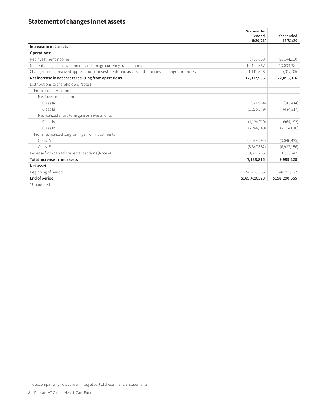# **Statement of changes in net assets**

|                                                                                                       | Six months<br>ended<br>$6/30/21*$ | Year ended<br>12/31/20 |
|-------------------------------------------------------------------------------------------------------|-----------------------------------|------------------------|
| Increase in net assets                                                                                |                                   |                        |
| Operations:                                                                                           |                                   |                        |
| Net investment income                                                                                 | \$795,863                         | \$1,144,930            |
| Net realized gain on investments and foreign currency transactions                                    | 10,409,567                        | 13,033,381             |
| Change in net unrealized appreciation of investments and assets and liabilities in foreign currencies | 1,112,506                         | 7,917,705              |
| Net increase in net assets resulting from operations                                                  | 12,317,936                        | 22,096,016             |
| Distributions to shareholders (Note 1):                                                               |                                   |                        |
| From ordinary income                                                                                  |                                   |                        |
| Net investment income                                                                                 |                                   |                        |
| Class IA                                                                                              | (621, 964)                        | (315, 414)             |
| Class IB                                                                                              | (1,265,779)                       | (484, 317)             |
| Net realized short-term gain on investments                                                           |                                   |                        |
| Class IA                                                                                              | (1, 124, 719)                     | (964, 192)             |
| Class IB                                                                                              | (2,746,740)                       | (2, 194, 016)          |
| From net realized long-term gain on investments                                                       |                                   |                        |
| Class IA                                                                                              | (2,599,292)                       | (3,046,435)            |
| Class IB                                                                                              | (6, 347, 882)                     | (6,932,156)            |
| Increase from capital share transactions (Note 4)                                                     | 9,527,255                         | 1,839,742              |
| Total increase in net assets                                                                          | 7,138,815                         | 9,999,228              |
| Net assets:                                                                                           |                                   |                        |
| Beginning of period                                                                                   | 158,290,555                       | 148,291,327            |
| End of period                                                                                         | \$165,429,370                     | \$158,290,555          |

\* Unaudited.

The accompanying notes are an integral part of these financial statements.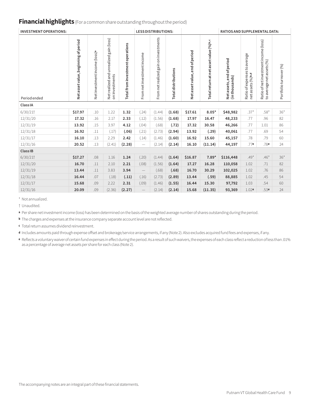# **Financial highlights** (For a common share outstanding throughout the period)

| <b>INVESTMENT OPERATIONS:</b> |                                      |                                           | <b>LESS DISTRIBUTIONS:</b>                                            |                                  | RATIOS AND SUPPLEMENTAL DATA: |                                       |                            |                                |                                        |                                            |                                                  |                                                                    |                       |
|-------------------------------|--------------------------------------|-------------------------------------------|-----------------------------------------------------------------------|----------------------------------|-------------------------------|---------------------------------------|----------------------------|--------------------------------|----------------------------------------|--------------------------------------------|--------------------------------------------------|--------------------------------------------------------------------|-----------------------|
| Period ended                  | Net asset value, beginning of period | Net investment income (loss) <sup>a</sup> | gain (loss)<br>unrealized<br>and<br>Netrealized and<br>on investments | Total from investment operations | From net investment income    | From net realized gain on investments | <b>Total distributions</b> | Net asset value, end of period | Total return at net asset value (%)b,c | Netassets, end of period<br>(in thousands) | Ratio of expenses to average<br>netassets (%)b,d | Ratio of net investment income (loss)<br>to average net assets (%) | Portfolioturnover (%) |
| Class IA                      |                                      |                                           |                                                                       |                                  |                               |                                       |                            |                                |                                        |                                            |                                                  |                                                                    |                       |
| 6/30/21                       | \$17.97                              | .10                                       | 1.22                                                                  | 1.32                             | (.24)                         | (1.44)                                | (1.68)                     | \$17.61                        | $8.05*$                                | \$48,982                                   | $.37*$                                           | $.58*$                                                             | $36*$                 |
| 12/31/20                      | 17.32                                | .16                                       | 2.17                                                                  | 2.33                             | (.12)                         | (1.56)                                | (1.68)                     | 17.97                          | 16.47                                  | 48,233                                     | .77                                              | .96                                                                | 82                    |
| 12/31/19                      | 13.92                                | .15                                       | 3.97                                                                  | 4.12                             | (.04)                         | (.68)                                 | (.72)                      | 17.32                          | 30.58                                  | 46,266                                     | .77                                              | 1.01                                                               | 86                    |
| 12/31/18                      | 16.92                                | .11                                       | (.17)                                                                 | (.06)                            | (.21)                         | (2.73)                                | (2.94)                     | 13.92                          | (.29)                                  | 40,061                                     | .77                                              | .69                                                                | 54                    |
| 12/31/17                      | 16.10                                | .13                                       | 2.29                                                                  | 2.42                             | (.14)                         | (1.46)                                | (1.60)                     | 16.92                          | 15.60                                  | 45,157                                     | .78                                              | .79                                                                | 60                    |
| 12/31/16                      | 20.52                                | .13                                       | (2.41)                                                                | (2.28)                           | $\overline{\phantom{m}}$      | (2.14)                                | (2.14)                     | 16.10                          | (11.14)                                | 44,197                                     | .77e                                             | .78e                                                               | 24                    |
| Class IB                      |                                      |                                           |                                                                       |                                  |                               |                                       |                            |                                |                                        |                                            |                                                  |                                                                    |                       |
| 6/30/21                       | \$17.27                              | .08                                       | 1.16                                                                  | 1.24                             | (.20)                         | (1.44)                                | (1.64)                     | \$16.87                        | $7.89*$                                | \$116,448                                  | $.49*$                                           | $.46*$                                                             | $36*$                 |
| 12/31/20                      | 16.70                                | .11                                       | 2.10                                                                  | 2.21                             | (.08)                         | (1.56)                                | (1.64)                     | 17.27                          | 16.28                                  | 110,058                                    | 1.02                                             | .71                                                                | 82                    |
| 12/31/19                      | 13.44                                | .11                                       | 3.83                                                                  | 3.94                             | $\overline{\phantom{m}}$      | (.68)                                 | (.68)                      | 16.70                          | 30.29                                  | 102,025                                    | 1.02                                             | .76                                                                | 86                    |
| 12/31/18                      | 16.44                                | .07                                       | (.18)                                                                 | (.11)                            | (.16)                         | (2.73)                                | (2.89)                     | 13.44                          | (.59)                                  | 88,885                                     | 1.02                                             | .45                                                                | 54                    |
| 12/31/17                      | 15.68                                | .09                                       | 2.22                                                                  | 2.31                             | (.09)                         | (1.46)                                | (1.55)                     | 16.44                          | 15.30                                  | 97,792                                     | 1.03                                             | .54                                                                | 60                    |
| 12/31/16                      | 20.09                                | .09                                       | (2.36)                                                                | (2.27)                           | $\qquad \qquad -$             | (2.14)                                | (2.14)                     | 15.68                          | (11.35)                                | 93,369                                     | 1.02 <sup>e</sup>                                | .53e                                                               | 24                    |

\* Not annualized.

† Unaudited.

**<sup>a</sup>** Per share net investment income (loss) has been determined on the basis of the weighted average number of shares outstanding during the period.

**<sup>b</sup>** The charges and expenses at the insurance company separate account level are not reflected.

**<sup>c</sup>** Total return assumes dividend reinvestment.

**<sup>d</sup>** Includes amounts paid through expense offset and brokerage/service arrangements, if any (Note 2). Also excludes acquired fund fees and expenses, if any.

**<sup>e</sup>** Reflects a voluntary waiver of certain fund expenses in effect during the period. As a result of such waivers, the expenses of each class reflect a reduction of less than .01% as a percentage of average net assets per share for each class (Note 2).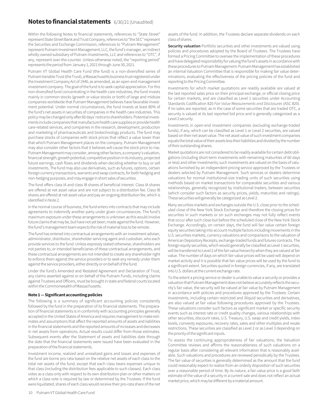## **Notes to financial statements** 6/30/21 (Unaudited)

Within the following Notes to financial statements, references to "State Street" represent State Street Bank and Trust Company, references to "the SEC" represent the Securities and Exchange Commission, references to "Putnam Management" represent Putnam Investment Management, LLC, the fund's manager, an indirect wholly-owned subsidiary of Putnam Investments, LLC and references to "OTC", if any, represent over-the-counter. Unless otherwise noted, the "reporting period" represents the period from January 1, 2021 through June 30, 2021.

Putnam VT Global Health Care Fund (the fund) is a non-diversified series of Putnam Variable Trust (the Trust), a Massachusetts business trust registered under the Investment Company Act of 1940, as amended, as an open-end management investment company. The goal of the fund is to seek capital appreciation. For this non-diversified fund concentrating in the health care industries, the fund invests mainly in common stocks (growth or value stocks or both) of large and midsize companies worldwide that Putnam Management believes have favorable investment potential. Under normal circumstances, the fund invests at least 80% of the fund's net assets in securities of companies in the health care industries. This policy may be changed only after 60 days' notice to shareholders. Potential investments include companies that manufacture health care supplies or provide health care-related services, and companies in the research, development, production and marketing of pharmaceuticals and biotechnology products. The fund may purchase stocks of companies with stock prices that reflect a value lower than that which Putnam Management places on the company. Putnam Management may also consider other factors that it believes will cause the stock price to rise. Putnam Management may consider, among other factors, a company's valuation, financial strength, growth potential, competitive position in its industry, projected future earnings, cash flows and dividends when deciding whether to buy or sell investments. The fund may also use derivatives, such as futures, options, certain foreign currency transactions, warrants and swap contracts, for both hedging and non-hedging purposes, and may engage in short sales of securities.

The fund offers class IA and class IB shares of beneficial interest. Class IA shares are offered at net asset value and are not subject to a distribution fee. Class IB shares are offered at net asset value and pay an ongoing distribution fee, which is identified in Note 2.

In the normal course of business, the fund enters into contracts that may include agreements to indemnify another party under given circumstances. The fund's maximum exposure under these arrangements is unknown as this would involve future claims that may be, but have not yet been, made against the fund. However, the fund's management team expects the risk of material loss to be remote.

The fund has entered into contractual arrangements with an investment adviser, administrator, distributor, shareholder servicing agent and custodian, who each provide services to the fund. Unless expressly stated otherwise, shareholders are not parties to, or intended beneficiaries of these contractual arrangements, and these contractual arrangements are not intended to create any shareholder right to enforce them against the service providers or to seek any remedy under them against the service providers, either directly or on behalf of the fund.

Under the fund's Amended and Restated Agreement and Declaration of Trust, any claims asserted against or on behalf of the Putnam Funds, including claims against Trustees and Officers, must be brought in state and federal courts located within the Commonwealth of Massachusetts.

#### **Note 1 — Significant accounting policies**

The following is a summary of significant accounting policies consistently followed by the fund in the preparation of its financial statements. The preparation of financial statements is in conformity with accounting principles generally accepted in the United States of America and requires management to make estimates and assumptions that affect the reported amounts of assets and liabilities in the financial statements and the reported amounts of increases and decreases in net assets from operations. Actual results could differ from those estimates. Subsequent events after the Statement of assets and liabilities date through the date that the financial statements were issued have been evaluated in the preparation of the financial statements.

Investment income, realized and unrealized gains and losses and expenses of the fund are borne pro-rata based on the relative net assets of each class to the total net assets of the fund, except that each class bears expenses unique to that class (including the distribution fees applicable to such classes). Each class votes as a class only with respect to its own distribution plan or other matters on which a class vote is required by law or determined by the Trustees. If the fund were liquidated, shares of each class would receive their pro-rata share of the net

and have delegated responsibility for valuing the fund's assets in accordance with

class of shares.

these procedures to Putnam Management. Putnam Management has established an internal Valuation Committee that is responsible for making fair value determinations, evaluating the effectiveness of the pricing policies of the fund and reporting to the Pricing Committee.

assets of the fund. In addition, the Trustees declare separate dividends on each

**Security valuation** Portfolio securities and other investments are valued using policies and procedures adopted by the Board of Trustees. The Trustees have formed a Pricing Committee to oversee the implementation of these procedures

Investments for which market quotations are readily available are valued at the last reported sales price on their principal exchange, or official closing price for certain markets, and are classified as Level 1 securities under Accounting Standards Codification 820 *Fair Value Measurements and Disclosures* (ASC 820). If no sales are reported, as in the case of some securities that are traded OTC, a security is valued at its last reported bid price and is generally categorized as a Level 2 security.

Investments in open-end investment companies (excluding exchange-traded funds), if any, which can be classified as Level 1 or Level 2 securities, are valued based on their net asset value. The net asset value of such investment companies equals the total value of their assets less their liabilities and divided by the number of their outstanding shares.

Market quotations are not considered to be readily available for certain debt obligations (including short-term investments with remaining maturities of 60 days or less) and other investments; such investments are valued on the basis of valuations furnished by an independent pricing service approved by the Trustees or dealers selected by Putnam Management. Such services or dealers determine valuations for normal institutional-size trading units of such securities using methods based on market transactions for comparable securities and various relationships, generally recognized by institutional traders, between securities (which consider such factors as security prices, yields, maturities and ratings). These securities will generally be categorized as Level 2.

Many securities markets and exchanges outside the U.S. close prior to the scheduled close of the New York Stock Exchange and therefore the closing prices for securities in such markets or on such exchanges may not fully reflect events that occur after such close but before the scheduled close of the New York Stock Exchange. Accordingly, on certain days, the fund will fair value certain foreign equity securities taking into account multiple factors including movements in the U.S. securities markets, currency valuations and comparisons to the valuation of American Depository Receipts, exchange-traded funds and futures contracts. The foreign equity securities, which would generally be classified as Level 1 securities, will be transferred to Level 2 of the fair value hierarchy when they are valued at fair value. The number of days on which fair value prices will be used will depend on market activity and it is possible that fair value prices will be used by the fund to a significant extent. Securities quoted in foreign currencies, if any, are translated into U.S. dollars at the current exchange rate.

To the extent a pricing service or dealer is unable to value a security or provides a valuation that Putnam Management does not believe accurately reflects the security's fair value, the security will be valued at fair value by Putnam Management in accordance with policies and procedures approved by the Trustees. Certain investments, including certain restricted and illiquid securities and derivatives, are also valued at fair value following procedures approved by the Trustees. These valuations consider such factors as significant market or specific security events such as interest rate or credit quality changes, various relationships with other securities, discount rates, U.S. Treasury, U.S. swap and credit yields, index levels, convexity exposures, recovery rates, sales and other multiples and resale restrictions. These securities are classified as Level 2 or as Level 3 depending on the priority of the significant inputs.

To assess the continuing appropriateness of fair valuations, the Valuation Committee reviews and affirms the reasonableness of such valuations on a regular basis after considering all relevant information that is reasonably available. Such valuations and procedures are reviewed periodically by the Trustees. The fair value of securities is generally determined as the amount that the fund could reasonably expect to realize from an orderly disposition of such securities over a reasonable period of time. By its nature, a fair value price is a good faith estimate of the value of a security in a current sale and does not reflect an actual market price, which may be different by a material amount.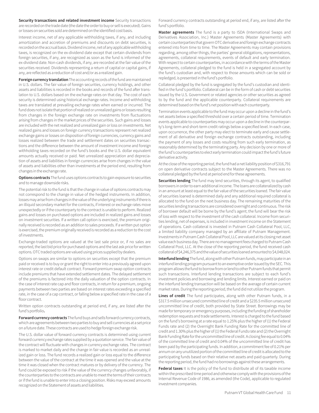**Security transactions and related investment income** Security transactions are recorded on the trade date (the date the order to buy or sell is executed). Gains or losses on securities sold are determined on the identified cost basis.

Interest income, net of any applicable withholding taxes, if any, and including amortization and accretion of premiums and discounts on debt securities, is recorded on the accrual basis. Dividend income, net of any applicable withholding taxes, is recognized on the ex-dividend date except that certain dividends from foreign securities, if any, are recognized as soon as the fund is informed of the ex-dividend date. Non-cash dividends, if any, are recorded at the fair value of the securities received. Dividends representing a return of capital or capital gains, if any, are reflected as a reduction of cost and/or as a realized gain.

**Foreign currency translation** The accounting records of the fund are maintained in U.S. dollars. The fair value of foreign securities, currency holdings, and other assets and liabilities is recorded in the books and records of the fund after translation to U.S. dollars based on the exchange rates on that day. The cost of each security is determined using historical exchange rates. Income and withholding taxes are translated at prevailing exchange rates when earned or incurred. The fund does not isolate that portion of realized or unrealized gains or losses resulting from changes in the foreign exchange rate on investments from fluctuations arising from changes in the market prices of the securities. Such gains and losses are included with the net realized and unrealized gain or loss on investments. Net realized gains and losses on foreign currency transactions represent net realized exchange gains or losses on disposition of foreign currencies, currency gains and losses realized between the trade and settlement dates on securities transactions and the difference between the amount of investment income and foreign withholding taxes recorded on the fund's books and the U.S. dollar equivalent amounts actually received or paid. Net unrealized appreciation and depreciation of assets and liabilities in foreign currencies arise from changes in the value of assets and liabilities other than investments at the period end, resulting from changes in the exchange rate.

**Options contracts** The fund uses options contracts to gain exposure to securities and to manage downside risks.

The potential risk to the fund is that the change in value of options contracts may not correspond to the change in value of the hedged instruments. In addition, losses may arise from changes in the value of the underlying instruments if there is an illiquid secondary market for the contracts, if interest or exchange rates move unexpectedly or if the counterparty to the contract is unable to perform. Realized gains and losses on purchased options are included in realized gains and losses on investment securities. If a written call option is exercised, the premium originally received is recorded as an addition to sales proceeds. If a written put option is exercised, the premium originally received is recorded as a reduction to the cost of investments.

Exchange-traded options are valued at the last sale price or, if no sales are reported, the last bid price for purchased options and the last ask price for written options. OTC traded options are valued using prices supplied by dealers.

Options on swaps are similar to options on securities except that the premium paid or received is to buy or grant the right to enter into a previously agreed upon interest rate or credit default contract. Forward premium swap option contracts include premiums that have extended settlement dates. The delayed settlement of the premiums is factored into the daily valuation of the option contracts. In the case of interest rate cap and floor contracts, in return for a premium, ongoing payments between two parties are based on interest rates exceeding a specified rate, in the case of a cap contract, or falling below a specified rate in the case of a floor contract.

Written option contracts outstanding at period end, if any, are listed after the fund's portfolio**.**

**Forward currency contracts** The fund buys and sells forward currency contracts, which are agreements between two parties to buy and sell currencies at a set price on a future date. These contracts are used to hedge foreign exchange risk.

The U.S. dollar value of forward currency contracts is determined using current forward currency exchange rates supplied by a quotation service. The fair value of the contract will fluctuate with changes in currency exchange rates. The contract is marked to market daily and the change in fair value is recorded as an unrealized gain or loss. The fund records a realized gain or loss equal to the difference between the value of the contract at the time it was opened and the value at the time it was closed when the contract matures or by delivery of the currency. The fund could be exposed to risk if the value of the currency changes unfavorably, if the counterparties to the contracts are unable to meet the terms of their contracts or if the fund is unable to enter into a closing position. Risks may exceed amounts recognized on the Statement of assets and liabilities.

Forward currency contracts outstanding at period end, if any, are listed after the fund's portfolio.

**Master agreements** The fund is a party to ISDA (International Swaps and Derivatives Association, Inc.) Master Agreements (Master Agreements) with certain counterparties that govern OTC derivative and foreign exchange contracts entered into from time to time. The Master Agreements may contain provisions regarding, among other things, the parties' general obligations, representations, agreements, collateral requirements, events of default and early termination. With respect to certain counterparties, in accordance with the terms of the Master Agreements, collateral pledged to the fund is held in a segregated account by the fund's custodian and, with respect to those amounts which can be sold or repledged, is presented in the fund's portfolio.

Collateral pledged by the fund is segregated by the fund's custodian and identified in the fund's portfolio. Collateral can be in the form of cash or debt securities issued by the U.S. Government or related agencies or other securities as agreed to by the fund and the applicable counterparty. Collateral requirements are determined based on the fund's net position with each counterparty.

Termination events applicable to the fund may occur upon a decline in the fund's net assets below a specified threshold over a certain period of time. Termination events applicable to counterparties may occur upon a decline in the counterparty's long-term and short-term credit ratings below a specified level. In each case, upon occurrence, the other party may elect to terminate early and cause settlement of all derivative and foreign exchange contracts outstanding, including the payment of any losses and costs resulting from such early termination, as reasonably determined by the terminating party. Any decision by one or more of the fund's counterparties to elect early termination could impact the fund's future derivative activity.

At the close of the reporting period, the fund had a net liability position of \$316,791 on open derivative contracts subject to the Master Agreements. There was no collateral pledged by the fund at period end for these agreements.

**Securities lending** The fund may lend securities, through its agent, to qualified borrowers in order to earn additional income. The loans are collateralized by cash in an amount at least equal to the fair value of the securities loaned. The fair value of securities loaned is determined daily and any additional required collateral is allocated to the fund on the next business day. The remaining maturities of the securities lending transactions are considered overnight and continuous. The risk of borrower default will be borne by the fund's agent; the fund will bear the risk of loss with respect to the investment of the cash collateral. Income from securities lending, net of expenses, is included in investment income on the Statement of operations. Cash collateral is invested in Putnam Cash Collateral Pool, LLC, a limited liability company managed by an affiliate of Putnam Management. Investments in Putnam Cash Collateral Pool, LLC are valued at its closing net asset value each business day. There are no management fees charged to Putnam Cash Collateral Pool, LLC. At the close of the reporting period, the fund received cash collateral of \$4,246,375 and the value of securities loaned amounted to \$4,048,024.

**Interfund lending** The fund, along with other Putnam funds, may participate in an interfund lending program pursuant to an exemptive order issued by the SEC. This program allows the fund to borrow from or lend to other Putnam funds that permit such transactions. Interfund lending transactions are subject to each fund's investment policies and borrowing and lending limits. Interest earned or paid on the interfund lending transaction will be based on the average of certain current market rates. During the reporting period, the fund did not utilize the program.

**Lines of credit** The fund participates, along with other Putnam funds, in a \$317.5 million unsecured committed line of credit and a \$235.5 million unsecured uncommitted line of credit, both provided by State Street. Borrowings may be made for temporary or emergency purposes, including the funding of shareholder redemption requests and trade settlements. Interest is charged to the fund based on the fund's borrowing at a rate equal to 1.25% plus the higher of (1) the Federal Funds rate and (2) the Overnight Bank Funding Rate for the committed line of credit and 1.30% plus the higher of (1) the Federal Funds rate and (2) the Overnight Bank Funding Rate for the uncommitted line of credit. A closing fee equal to 0.04% of the committed line of credit and 0.04% of the uncommitted line of credit has been paid by the participating funds. In addition, a commitment fee of 0.21% per annum on any unutilized portion of the committed line of credit is allocated to the participating funds based on their relative net assets and paid quarterly. During the reporting period, the fund had no borrowings against these arrangements.

**Federal taxes** It is the policy of the fund to distribute all of its taxable income within the prescribed time period and otherwise comply with the provisions of the Internal Revenue Code of 1986, as amended (the Code), applicable to regulated investment companies.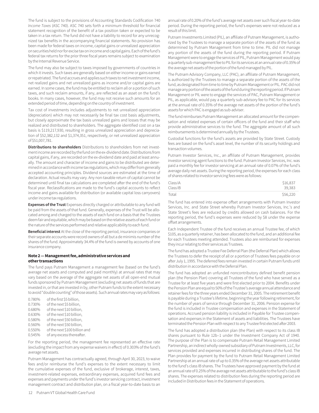The fund is subject to the provisions of Accounting Standards Codification 740 *Income Taxes* (ASC 740). ASC 740 sets forth a minimum threshold for financial statement recognition of the benefit of a tax position taken or expected to be taken in a tax return. The fund did not have a liability to record for any unrecognized tax benefits in the accompanying financial statements. No provision has been made for federal taxes on income, capital gains or unrealized appreciation on securities held nor for excise tax on income and capital gains. Each of the fund's federal tax returns for the prior three fiscal years remains subject to examination by the Internal Revenue Service.

The fund may also be subject to taxes imposed by governments of countries in which it invests. Such taxes are generally based on either income or gains earned or repatriated. The fund accrues and applies such taxes to net investment income, net realized gains and net unrealized gains as income and/or capital gains are earned. In some cases, the fund may be entitled to reclaim all or a portion of such taxes, and such reclaim amounts, if any, are reflected as an asset on the fund's books. In many cases, however, the fund may not receive such amounts for an extended period of time, depending on the country of investment.

Tax cost of investments includes adjustments to net unrealized appreciation (depreciation) which may not necessarily be final tax cost basis adjustments, but closely approximate the tax basis unrealized gains and losses that may be realized and distributed to shareholders. The aggregate identified cost on a tax basis is \$119,217,930, resulting in gross unrealized appreciation and depreciation of \$52,382,132 and \$1,374,351, respectively, or net unrealized appreciation of \$51,007,781.

**Distributions to shareholders** Distributions to shareholders from net investment income are recorded by the fund on the ex-dividend date. Distributions from capital gains, if any, are recorded on the ex-dividend date and paid at least annually. The amount and character of income and gains to be distributed are determined in accordance with income tax regulations, which may differ from generally accepted accounting principles. Dividend sources are estimated at the time of declaration. Actual results may vary. Any non-taxable return of capital cannot be determined until final tax calculations are completed after the end of the fund's fiscal year. Reclassifications are made to the fund's capital accounts to reflect income and gains available for distribution (or available capital loss carryovers) under income tax regulations.

**Expenses of the Trust** Expenses directly charged or attributable to any fund will be paid from the assets of that fund. Generally, expenses of the Trust will be allocated among and charged to the assets of each fund on a basis that the Trustees deem fair and equitable, which may be based on the relative assets of each fund or the nature of the services performed and relative applicability to each fund.

**Beneficial interest** At the close of the reporting period, insurance companies or their separate accounts were record owners of all but a de minimis number of the shares of the fund. Approximately 34.4% of the fund is owned by accounts of one insurance company.

#### **Note 2 — Management fee, administrative services and other transactions**

The fund pays Putnam Management a management fee (based on the fund's average net assets and computed and paid monthly) at annual rates that may vary based on the average of the aggregate net assets of all open-end mutual funds sponsored by Putnam Management (excluding net assets of funds that are invested in, or that are invested in by, other Putnam funds to the extent necessary to avoid "double counting" of those assets). Such annual rates may vary as follows:

| 0.780% | of the first \$5 billion,     |
|--------|-------------------------------|
| 0.730% | of the next \$5 billion,      |
| 0.680% | of the next \$10 billion,     |
| 0.630% | of the next \$10 billion,     |
| 0.580% | of the next \$50 billion,     |
| 0.560% | of the next \$50 billion,     |
| 0.550% | of the next \$100 billion and |
| 0.545% | of any excess thereafter.     |
|        |                               |

For the reporting period, the management fee represented an effective rate (excluding the impact from any expense waivers in effect) of 0.303% of the fund's average net assets.

Putnam Management has contractually agreed, through April 30, 2023, to waive fees and/or reimburse the fund's expenses to the extent necessary to limit the cumulative expenses of the fund, exclusive of brokerage, interest, taxes, investment-related expenses, extraordinary expenses, acquired fund fees and expenses and payments under the fund's investor servicing contract, investment management contract and distribution plan, on a fiscal year-to-date basis to an annual rate of 0.20% of the fund's average net assets over such fiscal year-to-date period. During the reporting period, the fund's expenses were not reduced as a result of this limit.

Putnam Investments Limited (PIL), an affiliate of Putnam Management, is authorized by the Trustees to manage a separate portion of the assets of the fund as determined by Putnam Management from time to time. PIL did not manage any portion of the assets of the fund during the reporting period. If Putnam Management were to engage the services of PIL, Putnam Management would pay a quarterly sub-management fee to PIL for its services at an annual rate of 0.35% of the average net assets of the portion of the fund managed by PIL.

The Putnam Advisory Company, LLC (PAC), an affiliate of Putnam Management, is authorized by the Trustees to manage a separate portion of the assets of the fund, as designated from time to time by Putnam Management or PIL. PAC did not manage any portion of the assets of the fund during the reporting period. If Putnam Management or PIL were to engage the services of PAC, Putnam Management or PIL, as applicable, would pay a quarterly sub-advisory fee to PAC for its services at the annual rate of 0.35% of the average net assets of the portion of the fund's assets for which PAC is engaged as sub-adviser.

The fund reimburses Putnam Management an allocated amount for the compensation and related expenses of certain officers of the fund and their staff who provide administrative services to the fund. The aggregate amount of all such reimbursements is determined annually by the Trustees.

Custodial functions for the fund's assets are provided by State Street. Custody fees are based on the fund's asset level, the number of its security holdings and transaction volumes.

Putnam Investor Services, Inc., an affiliate of Putnam Management, provides investor servicing agent functions to the fund. Putnam Investor Services, Inc. was paid a monthly fee for investor servicing at an annual rate of 0.07% of the fund's average daily net assets. During the reporting period, the expenses for each class of shares related to investor servicing fees were as follows:

| Class IA | \$16,837 |
|----------|----------|
| Class IB | 39.383   |
| Total    | \$56,220 |

The fund has entered into expense offset arrangements with Putnam Investor Services, Inc. and State Street whereby Putnam Investor Services, Inc.'s and State Street's fees are reduced by credits allowed on cash balances. For the reporting period, the fund's expenses were reduced by \$8 under the expense offset arrangements.

Each Independent Trustee of the fund receives an annual Trustee fee, of which \$105, as a quarterly retainer, has been allocated to the fund, and an additional fee for each Trustees meeting attended. Trustees also are reimbursed for expenses they incur relating to their services as Trustees.

The fund has adopted a Trustee Fee Deferral Plan (the Deferral Plan) which allows the Trustees to defer the receipt of all or a portion of Trustees fees payable on or after July 1, 1995. The deferred fees remain invested in certain Putnam funds until distribution in accordance with the Deferral Plan.

The fund has adopted an unfunded noncontributory defined benefit pension plan (the Pension Plan) covering all Trustees of the fund who have served as a Trustee for at least five years and were first elected prior to 2004. Benefits under the Pension Plan are equal to 50% of the Trustee's average annual attendance and retainer fees for the three years ended December 31, 2005. The retirement benefit is payable during a Trustee's lifetime, beginning the year following retirement, for the number of years of service through December 31, 2006. Pension expense for the fund is included in Trustee compensation and expenses in the Statement of operations. Accrued pension liability is included in Payable for Trustee compensation and expenses in the Statement of assets and liabilities. The Trustees have terminated the Pension Plan with respect to any Trustee first elected after 2003.

The fund has adopted a distribution plan (the Plan) with respect to its class IB shares pursuant to Rule 12b–1 under the Investment Company Act of 1940. The purpose of the Plan is to compensate Putnam Retail Management Limited Partnership, an indirect wholly-owned subsidiary of Putnam Investments, LLC, for services provided and expenses incurred in distributing shares of the fund. The Plan provides for payment by the fund to Putnam Retail Management Limited Partnership at an annual rate of up to 0.35% of the average net assets attributable to the fund's class IB shares. The Trustees have approved payment by the fund at an annual rate of 0.25% of the average net assets attributable to the fund's class IB shares. The expenses related to distribution fees during the reporting period are included in Distribution fees in the Statement of operations.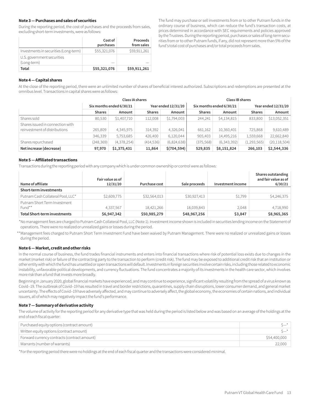#### **Note 3 — Purchases and sales of securities**

During the reporting period, the cost of purchases and the proceeds from sales, excluding short-term investments, were as follows:

|                                           | Cost of<br>purchases | Proceeds<br>from sales |
|-------------------------------------------|----------------------|------------------------|
| Investments in securities (Long-term)     | \$55,321,076         | \$59,911,261           |
| U.S. government securities<br>(Long-term) |                      |                        |
| Total                                     | \$55,321,076         | \$59,911,261           |

The fund may purchase or sell investments from or to other Putnam funds in the ordinary course of business, which can reduce the fund's transaction costs, at prices determined in accordance with SEC requirements and policies approved by the Trustees. During the reporting period, purchases or sales of long-term securities from or to other Putnam funds, if any, did not represent more than 5% of the fund's total cost of purchases and/or total proceeds from sales.

#### **Note 4 — Capital shares**

At the close of the reporting period, there were an unlimited number of shares of beneficial interest authorized. Subscriptions and redemptions are presented at the omnibus level. Transactions in capital shares were as follows:

|                                                                   | Class IA shares          |             |                     |              |               | Class IB shares          |                     |                |
|-------------------------------------------------------------------|--------------------------|-------------|---------------------|--------------|---------------|--------------------------|---------------------|----------------|
|                                                                   | Six months ended 6/30/21 |             | Year ended 12/31/20 |              |               | Six months ended 6/30/21 | Year ended 12/31/20 |                |
|                                                                   | <b>Shares</b>            | Amount      | <b>Shares</b>       | Amount       | <b>Shares</b> | Amount                   | <b>Shares</b>       | Amount         |
| Shares sold                                                       | 80,530                   | \$1,407,710 | 112,008             | \$1,794,003  | 244,241       | \$4,134,815              | 833,800             | \$13,052,351   |
| Shares issued in connection with<br>reinvestment of distributions | 265,809                  | 4,345,975   | 314,392             | 4,326,041    | 661,162       | 10,360,401               | 725,868             | 9,610,489      |
|                                                                   | 346,339                  | 5,753,685   | 426,400             | 6,120,044    | 905,403       | 14,495,216               | 1,559,668           | 22,662,840     |
| Shares repurchased                                                | (248, 369)               | (4,378,254) | (414, 536)          | (6,824,638)  | (375, 568)    | (6, 343, 392)            | (1, 293, 565)       | (20, 118, 504) |
| Net increase (decrease)                                           | 97,970                   | \$1,375,431 | 11,864              | \$(704, 594) | 529,835       | \$8,151,824              | 266,103             | \$2,544,336    |

#### **Note 5 — Affiliated transactions**

Transactions during the reporting period with any company which is under common ownership or control were as follows:

| Name of affiliate                        | Fair value as of<br>12/31/20 | Purchase cost | Sale proceeds | Investment income | Shares outstanding<br>and fair value as of<br>6/30/21 |
|------------------------------------------|------------------------------|---------------|---------------|-------------------|-------------------------------------------------------|
| Short-term investments                   |                              |               |               |                   |                                                       |
| Putnam Cash Collateral Pool, LLC*        | \$2,609,775                  | \$32,564,013  | \$30,927,413  | \$1,799           | \$4,246,375                                           |
| Putnam Short Term Investment<br>$Fund**$ | 4,337,567                    | 18,421,266    | 18,039,843    | 2.048             | 4,718,990                                             |
| <b>Total Short-term investments</b>      | \$6,947,342                  | \$50,985,279  | \$48,967,256  | \$3,847           | \$8,965,365                                           |

\*No management fees are charged to Putnam Cash Collateral Pool, LLC (Note 1). Investment income shown is included in securities lending income on the Statement of operations. There were no realized or unrealized gains or losses during the period.

\*\*Management fees charged to Putnam Short Term Investment Fund have been waived by Putnam Management. There were no realized or unrealized gains or losses during the period.

#### **Note 6 — Market, credit and other risks**

In the normal course of business, the fund trades financial instruments and enters into financial transactions where risk of potential loss exists due to changes in the market (market risk) or failure of the contracting party to the transaction to perform (credit risk). The fund may be exposed to additional credit risk that an institution or other entity with which the fund has unsettled or open transactions will default. Investments in foreign securities involve certain risks, including those related to economic instability, unfavorable political developments, and currency fluctuations. The fund concentrates a majority of its investments in the health care sector, which involves more risk than a fund that invests more broadly.

Beginning in January 2020, global financial markets have experienced, and may continue to experience, significant volatility resulting from the spread of a virus known as Covid–19. The outbreak of Covid–19 has resulted in travel and border restrictions, quarantines, supply chain disruptions, lower consumer demand, and general market uncertainty. The effects of Covid–19 have adversely affected, and may continue to adversely affect, the global economy, the economies of certain nations, and individual issuers, all of which may negatively impact the fund's performance.

#### **Note 7 — Summary of derivative activity**

The volume of activity for the reporting period for any derivative type that was held during the period is listed below and was based on an average of the holdings at the end of each fiscal quarter:

| Purchased equity options (contract amount)   |              |
|----------------------------------------------|--------------|
| Written equity options (contract amount)     |              |
| Forward currency contracts (contract amount) | \$54,400,000 |
| Warrants (number of warrants)                | 22,000       |

\*For the reporting period there were no holdings at the end of each fiscal quarter and the transactions were considered minimal.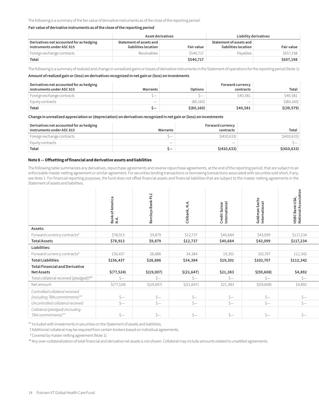The following is a summary of the fair value of derivative instruments as of the close of the reporting period:

#### **Fair value of derivative instruments as of the close of the reporting period**

|                                                                       | Asset derivatives                               |                   |                                                 | Liability derivatives |
|-----------------------------------------------------------------------|-------------------------------------------------|-------------------|-------------------------------------------------|-----------------------|
| Derivatives not accounted for as hedging<br>instruments under ASC 815 | Statement of assets and<br>liabilities location | <b>Fair value</b> | Statement of assets and<br>liabilities location | <b>Fair value</b>     |
| Foreign exchange contracts                                            | Receivables                                     | \$540.717         | Pavables                                        | \$657.198             |
| Total                                                                 |                                                 | \$540,717         |                                                 | \$657,198             |

The following is a summary of realized and change in unrealized gains or losses of derivative instruments in the Statement of operations for the reporting period (Note 1):

#### **Amount of realized gain or (loss) on derivatives recognized in net gain or (loss) on investments**

| Derivatives not accounted for as hedging<br>instruments under ASC 815 | Warrants | Options         | Forward currency<br>contracts | Total        |
|-----------------------------------------------------------------------|----------|-----------------|-------------------------------|--------------|
| Foreign exchange contracts                                            | $\sim$   |                 | \$40.581                      | \$40,581     |
| Equity contracts                                                      |          | (80,160)        | $\overline{\phantom{a}}$      | \$ (80, 160) |
| <b>Total</b>                                                          | —د       | $$^{(80,160)}$$ | \$40,581                      | \$(39, 579)  |

#### **Change in unrealized appreciation or (depreciation) on derivatives recognized in net gain or (loss) on investments**

| Derivatives not accounted for as hedging<br>instruments under ASC 815 | Warrants | Forward currency<br>contracts | Total         |
|-----------------------------------------------------------------------|----------|-------------------------------|---------------|
|                                                                       |          |                               |               |
| Foreign exchange contracts                                            |          | \$ (410, 633)                 | \$ (410, 633) |
| <sup>Equity contracts</sup>                                           |          | –                             |               |
| Total                                                                 | ╮—       | \$(410, 633)                  | \$(410, 633)  |

#### **Note 8 — Offsetting of financial and derivative assets and liabilities**

The following table summarizes any derivatives, repurchase agreements and reverse repurchase agreements, at the end of the reporting period, that are subject to an enforceable master netting agreement or similar agreement. For securities lending transactions or borrowing transactions associated with securities sold short, if any, see Note 1. For financial reporting purposes, the fund does not offset financial assets and financial liabilities that are subject to the master netting agreements in the Statement of assets and liabilities.

|                                                    | 음<br>이 지   | $\cup$     |             | Suiss<br>ationa<br>Credit<br>Interna | Sach<br>onal<br>ਸ਼ੂੰ ਜ਼ੁੱ<br>Goldm<br>Interna | HSBC Bank USA,<br>National Associat |
|----------------------------------------------------|------------|------------|-------------|--------------------------------------|-----------------------------------------------|-------------------------------------|
| Assets:                                            |            |            | ÷.          |                                      |                                               |                                     |
| Forward currency contracts <sup>#</sup>            | \$78,913   | \$9,879    | \$12,737    | \$40,684                             | \$43,099                                      | \$117,234                           |
|                                                    |            |            |             |                                      |                                               |                                     |
| <b>Total Assets</b>                                | \$78,913   | \$9,879    | \$12,737    | \$40,684                             | \$43,099                                      | \$117,234                           |
| Liabilities:                                       |            |            |             |                                      |                                               |                                     |
| Forward currency contracts#                        | 156,437    | 28,886     | 34,384      | 19,301                               | 102,707                                       | 112,342                             |
| <b>Total Liabilities</b>                           | \$156,437  | \$28,886   | \$34,384    | \$19,301                             | \$102,707                                     | \$112,342                           |
| <b>Total Financial and Derivative</b>              |            |            |             |                                      |                                               |                                     |
| <b>Net Assets</b>                                  | \$(77,524) | \$(19,007) | \$(21, 647) | \$21,383                             | \$ (59,608)                                   | \$4,892                             |
| Total collateral received (pledged) <sup>†##</sup> | $S-$       | $S-$       | $S-$        | $S-$                                 | $S-$                                          | $S-$                                |
| Net amount                                         | \$(77,524) | \$(19,007) | \$(21, 647) | \$21,383                             | \$ (59,608)                                   | \$4,892                             |
| Controlled collateral received                     |            |            |             |                                      |                                               |                                     |
| (including TBA commitments)**                      | $S-$       | $S-$       | $S-$        | $S-$                                 | $S-$                                          | $S-$                                |
| Uncontrolled collateral received                   | $S-$       | $S-$       | $S-$        | $s-$                                 | $S-$                                          | $S-$                                |
| Collateral (pledged) (including                    |            |            |             |                                      |                                               |                                     |
| TBA commitments)**                                 | S— I       | S—         | S—          | $S-$                                 | $S-$                                          | $5 -$                               |

\*\* Included with Investments in securities on the Statement of assets and liabilities.

†Additional collateral may be required from certain brokers based on individual agreements.

#Covered by master netting agreement (Note 1).

##Any over-collateralization of total financial and derivative net assets is not shown. Collateral may include amounts related to unsettled agreements.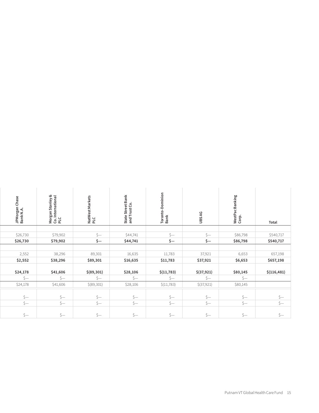| $\overline{a}$<br>⊇ ຜ⊴ | Stanley &<br>mational<br>nes<br>Sol | NatM<br>PLC  | ≃<br>State Street B<br>and Trust Co. | $\cap$<br>$\circ$ $\neq$<br>호 희 |        | O<br>₫<br>BS<br>∍ | Westl<br>Corp. | Total        |
|------------------------|-------------------------------------|--------------|--------------------------------------|---------------------------------|--------|-------------------|----------------|--------------|
|                        | \$79,902                            | $\zeta-$     | \$44,741                             |                                 | $S-$   | $S-$              | \$86,798       | \$540,717    |
|                        | \$79,902                            | $\zeta-$     | \$44,741                             |                                 | $s-$   | $s-$              | \$86,798       | \$540,717    |
|                        |                                     |              |                                      |                                 |        |                   |                |              |
|                        | 38,296                              | 89,301       | 16,635                               |                                 | 11,783 | 37,921            | 6,653          | 657,198      |
|                        | \$38,296                            | \$89,301     | \$16,635                             | \$11,783                        |        | \$37,921          | \$6,653        | \$657,198    |
|                        | \$41,606                            | \$ (89, 301) | \$28,106                             | \$(11, 783)                     |        | \$(37,921)        | \$80,145       | \$(116, 481) |
|                        | $S-$                                | $s-$         | $s-$                                 |                                 | $S-$   | $S-$              | $s-$           |              |
|                        | \$41,606                            | \$ (89, 301) | \$28,106                             | \$(11,783)                      |        | \$(37,921)        | \$80,145       |              |
|                        |                                     |              |                                      |                                 |        |                   |                |              |
|                        | $S-$                                | $s-$         | $s-$                                 |                                 | $S-$   | $s-$              | $s-$           | $s-$         |
|                        | $S-$                                | $\zeta-$     | $s-$                                 |                                 | $S-$   | $\zeta-$          | $s-$           | $S-$         |
|                        | $s-$                                | $\zeta-$     | $\zeta$ —                            |                                 | $S-$   | $s-$              | $\zeta-$       | $s-$         |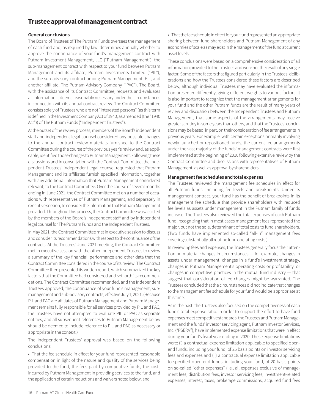# **Trustee approval of management contract**

#### **General conclusions**

The Board of Trustees of The Putnam Funds oversees the management of each fund and, as required by law, determines annually whether to approve the continuance of your fund's management contract with Putnam Investment Management, LLC ("Putnam Management"), the sub-management contract with respect to your fund between Putnam Management and its affiliate, Putnam Investments Limited ("PIL"), and the sub-advisory contract among Putnam Management, PIL, and another affiliate, The Putnam Advisory Company ("PAC"). The Board, with the assistance of its Contract Committee, requests and evaluates all information it deems reasonably necessary under the circumstances in connection with its annual contract review. The Contract Committee consists solely of Trustees who are not "interested persons" (as this term is defined in the Investment Company Act of 1940, as amended (the "1940 Act")) of The Putnam Funds ("Independent Trustees").

At the outset of the review process, members of the Board's independent staff and independent legal counsel considered any possible changes to the annual contract review materials furnished to the Contract Committee during the course of the previous year's review and, as applicable, identified those changes to Putnam Management. Following these discussions and in consultation with the Contract Committee, the Independent Trustees' independent legal counsel requested that Putnam Management and its affiliates furnish specified information, together with any additional information that Putnam Management considered relevant, to the Contract Committee. Over the course of several months ending in June 2021, the Contract Committee met on a number of occasions with representatives of Putnam Management, and separately in executive session, to consider the information that Putnam Management provided. Throughout this process, the Contract Committee was assisted by the members of the Board's independent staff and by independent legal counsel for The Putnam Funds and the Independent Trustees.

In May 2021, the Contract Committee met in executive session to discuss and consider its recommendations with respect to the continuance of the contracts. At the Trustees' June 2021 meeting, the Contract Committee met in executive session with the other Independent Trustees to review a summary of the key financial, performance and other data that the Contract Committee considered in the course of its review. The Contract Committee then presented its written report, which summarized the key factors that the Committee had considered and set forth its recommendations. The Contract Committee recommended, and the Independent Trustees approved, the continuance of your fund's management, submanagement and sub-advisory contracts, effective July 1, 2021. (Because PIL and PAC are affiliates of Putnam Management and Putnam Management remains fully responsible for all services provided by PIL and PAC, the Trustees have not attempted to evaluate PIL or PAC as separate entities, and all subsequent references to Putnam Management below should be deemed to include reference to PIL and PAC as necessary or appropriate in the context.)

The Independent Trustees' approval was based on the following conclusions:

• That the fee schedule in effect for your fund represented reasonable compensation in light of the nature and quality of the services being provided to the fund, the fees paid by competitive funds, the costs incurred by Putnam Management in providing services to the fund, and the application of certain reductions and waivers noted below; and

These conclusions were based on a comprehensive consideration of all information provided to the Trustees and were not the result of any single factor. Some of the factors that figured particularly in the Trustees' deliberations and how the Trustees considered these factors are described below, although individual Trustees may have evaluated the information presented differently, giving different weights to various factors. It is also important to recognize that the management arrangements for your fund and the other Putnam funds are the result of many years of review and discussion between the Independent Trustees and Putnam Management, that some aspects of the arrangements may receive greater scrutiny in some years than others, and that the Trustees' conclusions may be based, in part, on their consideration of fee arrangements in previous years. For example, with certain exceptions primarily involving newly launched or repositioned funds, the current fee arrangements under the vast majority of the funds' management contracts were first implemented at the beginning of 2010 following extensive review by the Contract Committee and discussions with representatives of Putnam Management, as well as approval by shareholders.

#### **Management fee schedules and total expenses**

The Trustees reviewed the management fee schedules in effect for all Putnam funds, including fee levels and breakpoints. Under its management contract, your fund has the benefit of breakpoints in its management fee schedule that provide shareholders with reduced fee levels as assets under management in the Putnam family of funds increase. The Trustees also reviewed the total expenses of each Putnam fund, recognizing that in most cases management fees represented the major, but not the sole, determinant of total costs to fund shareholders. (Two funds have implemented so-called "all-in" management fees covering substantially all routine fund operating costs.)

In reviewing fees and expenses, the Trustees generally focus their attention on material changes in circumstances — for example, changes in assets under management, changes in a fund's investment strategy, changes in Putnam Management's operating costs or profitability, or changes in competitive practices in the mutual fund industry — that suggest that consideration of fee changes might be warranted. The Trustees concluded that the circumstances did not indicate that changes to the management fee schedule for your fund would be appropriate at this time.

As in the past, the Trustees also focused on the competitiveness of each fund's total expense ratio. In order to support the effort to have fund expenses meet competitive standards, the Trustees and Putnam Management and the funds' investor servicing agent, Putnam Investor Services, Inc. ("PSERV"), have implemented expense limitations that were in effect during your fund's fiscal year ending in 2020. These expense limitations were: (i) a contractual expense limitation applicable to specified openend funds, including your fund, of 25 basis points on investor servicing fees and expenses and (ii) a contractual expense limitation applicable to specified open-end funds, including your fund, of 20 basis points on so-called "other expenses" (i.e., all expenses exclusive of management fees, distribution fees, investor servicing fees, investment-related expenses, interest, taxes, brokerage commissions, acquired fund fees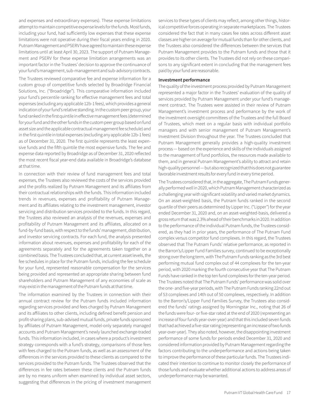and expenses and extraordinary expenses). These expense limitations attempt to maintain competitive expense levels for the funds. Most funds, including your fund, had sufficiently low expenses that these expense limitations were not operative during their fiscal years ending in 2020. Putnam Management and PSERV have agreed to maintain these expense limitations until at least April 30, 2023. The support of Putnam Management and PSERV for these expense limitation arrangements was an important factor in the Trustees' decision to approve the continuance of your fund's management, sub-management and sub-advisory contracts.

The Trustees reviewed comparative fee and expense information for a custom group of competitive funds selected by Broadridge Financial Solutions, Inc. ("Broadridge"). This comparative information included your fund's percentile ranking for effective management fees and total expenses (excluding any applicable 12b-1 fees), which provides a general indication of your fund's relative standing. In the custom peer group, your fund ranked in the first quintile in effective management fees (determined for your fund and the other funds in the custom peer group based on fund asset size and the applicable contractual management fee schedule) and in the first quintile in total expenses (excluding any applicable 12b-1 fees) as of December 31, 2020. The first quintile represents the least expensive funds and the fifth quintile the most expensive funds. The fee and expense data reported by Broadridge as of December 31, 2020 reflected the most recent fiscal year-end data available in Broadridge's database at that time.

In connection with their review of fund management fees and total expenses, the Trustees also reviewed the costs of the services provided and the profits realized by Putnam Management and its affiliates from their contractual relationships with the funds. This information included trends in revenues, expenses and profitability of Putnam Management and its affiliates relating to the investment management, investor servicing and distribution services provided to the funds. In this regard, the Trustees also reviewed an analysis of the revenues, expenses and profitability of Putnam Management and its affiliates, allocated on a fund-by-fund basis, with respect to the funds' management, distribution, and investor servicing contracts. For each fund, the analysis presented information about revenues, expenses and profitability for each of the agreements separately and for the agreements taken together on a combined basis. The Trustees concluded that, at current asset levels, the fee schedules in place for the Putnam funds, including the fee schedule for your fund, represented reasonable compensation for the services being provided and represented an appropriate sharing between fund shareholders and Putnam Management of any economies of scale as may exist in the management of the Putnam funds at that time.

The information examined by the Trustees in connection with their annual contract review for the Putnam funds included information regarding services provided and fees charged by Putnam Management and its affiliates to other clients, including defined benefit pension and profit-sharing plans, sub-advised mutual funds, private funds sponsored by affiliates of Putnam Management, model-only separately managed accounts and Putnam Management's newly launched exchange-traded funds. This information included, in cases where a product's investment strategy corresponds with a fund's strategy, comparisons of those fees with fees charged to the Putnam funds, as well as an assessment of the differences in the services provided to these clients as compared to the services provided to the Putnam funds. The Trustees observed that the differences in fee rates between these clients and the Putnam funds are by no means uniform when examined by individual asset sectors, suggesting that differences in the pricing of investment management services to these types of clients may reflect, among other things, historical competitive forces operating in separate marketplaces. The Trustees considered the fact that in many cases fee rates across different asset classes are higher on average for mutual funds than for other clients, and the Trustees also considered the differences between the services that Putnam Management provides to the Putnam funds and those that it provides to its other clients. The Trustees did not rely on these comparisons to any significant extent in concluding that the management fees paid by your fund are reasonable.

#### **Investment performance**

The quality of the investment process provided by Putnam Management represented a major factor in the Trustees' evaluation of the quality of services provided by Putnam Management under your fund's management contract. The Trustees were assisted in their review of Putnam Management's investment process and performance by the work of the investment oversight committees of the Trustees and the full Board of Trustees, which meet on a regular basis with individual portfolio managers and with senior management of Putnam Management's Investment Division throughout the year. The Trustees concluded that Putnam Management generally provides a high-quality investment process — based on the experience and skills of the individuals assigned to the management of fund portfolios, the resources made available to them, and in general Putnam Management's ability to attract and retain high-quality personnel — but also recognized that this does not guarantee favorable investment results for every fund in every time period.

The Trustees considered that, in the aggregate, The Putnam Funds generally performed well in 2020, which Putnam Management characterized as a challenging year with significant volatility and varied market dynamics. On an asset-weighted basis, the Putnam funds ranked in the second quartile of their peers as determined by Lipper Inc. ("Lipper") for the year ended December 31, 2020 and, on an asset-weighted-basis, delivered a gross return that was 2.3% ahead of their benchmarks in 2020. In addition to the performance of the individual Putnam funds, the Trustees considered, as they had in prior years, the performance of The Putnam Fund complex versus competitor fund complexes. In this regard, the Trustees observed that The Putnam Funds' relative performance, as reported in the Barron's/Lipper Fund Families survey, continued to be exceptionally strong over the long term, with The Putnam Funds ranking as the 3rd best performing mutual fund complex out of 44 complexes for the ten-year period, with 2020 marking the fourth consecutive year that The Putnam Funds have ranked in the top ten fund complexes for the ten-year period. The Trustees noted that The Putnam Funds' performance was solid over the one- and five-year periods, with The Putnam Funds ranking 22nd out of 53 complexes and 14th out of 50 complexes, respectively. In addition to the Barron's/Lipper Fund Families Survey, the Trustees also considered the funds' ratings assigned by Morningstar Inc., noting that 26 of the funds were four- or five-star rated at the end of 2020 (representing an increase of four funds year-over-year) and that this included seven funds that had achieved a five-star rating (representing an increase of two funds year-over-year). They also noted, however, the disappointing investment performance of some funds for periods ended December 31, 2020 and considered information provided by Putnam Management regarding the factors contributing to the underperformance and actions being taken to improve the performance of these particular funds. The Trustees indicated their intention to continue to monitor closely the performance of those funds and evaluate whether additional actions to address areas of underperformance may be warranted.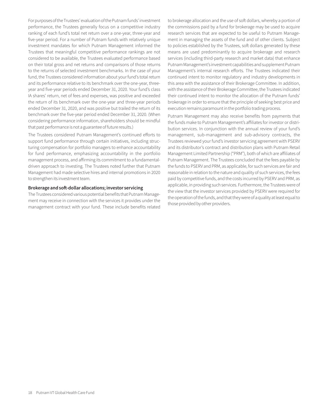For purposes of the Trustees' evaluation of the Putnam funds' investment performance, the Trustees generally focus on a competitive industry ranking of each fund's total net return over a one-year, three-year and five-year period. For a number of Putnam funds with relatively unique investment mandates for which Putnam Management informed the Trustees that meaningful competitive performance rankings are not considered to be available, the Trustees evaluated performance based on their total gross and net returns and comparisons of those returns to the returns of selected investment benchmarks. In the case of your fund, the Trustees considered information about your fund's total return and its performance relative to its benchmark over the one-year, threeyear and five-year periods ended December 31, 2020. Your fund's class IA shares' return, net of fees and expenses, was positive and exceeded the return of its benchmark over the one-year and three-year periods ended December 31, 2020, and was positive but trailed the return of its benchmark over the five-year period ended December 31, 2020. (When considering performance information, shareholders should be mindful that past performance is not a guarantee of future results.)

The Trustees considered Putnam Management's continued efforts to support fund performance through certain initiatives, including structuring compensation for portfolio managers to enhance accountability for fund performance, emphasizing accountability in the portfolio management process, and affirming its commitment to a fundamentaldriven approach to investing. The Trustees noted further that Putnam Management had made selective hires and internal promotions in 2020 to strengthen its investment team.

#### **Brokerage and soft-dollar allocations; investor servicing**

The Trustees considered various potential benefits that Putnam Management may receive in connection with the services it provides under the management contract with your fund. These include benefits related

to brokerage allocation and the use of soft dollars, whereby a portion of the commissions paid by a fund for brokerage may be used to acquire research services that are expected to be useful to Putnam Management in managing the assets of the fund and of other clients. Subject to policies established by the Trustees, soft dollars generated by these means are used predominantly to acquire brokerage and research services (including third-party research and market data) that enhance Putnam Management's investment capabilities and supplement Putnam Management's internal research efforts. The Trustees indicated their continued intent to monitor regulatory and industry developments in this area with the assistance of their Brokerage Committee. In addition, with the assistance of their Brokerage Committee, the Trustees indicated their continued intent to monitor the allocation of the Putnam funds' brokerage in order to ensure that the principle of seeking best price and execution remains paramount in the portfolio trading process.

Putnam Management may also receive benefits from payments that the funds make to Putnam Management's affiliates for investor or distribution services. In conjunction with the annual review of your fund's management, sub-management and sub-advisory contracts, the Trustees reviewed your fund's investor servicing agreement with PSERV and its distributor's contract and distribution plans with Putnam Retail Management Limited Partnership ("PRM"), both of which are affiliates of Putnam Management. The Trustees concluded that the fees payable by the funds to PSERV and PRM, as applicable, for such services are fair and reasonable in relation to the nature and quality of such services, the fees paid by competitive funds, and the costs incurred by PSERV and PRM, as applicable, in providing such services. Furthermore, the Trustees were of the view that the investor services provided by PSERV were required for the operation of the funds, and that they were of a quality at least equal to those provided by other providers.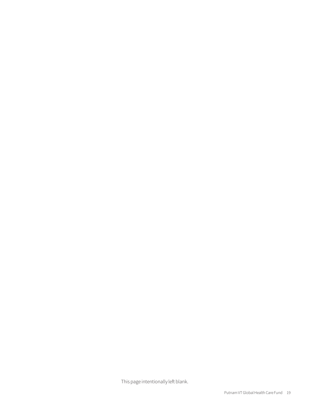This page intentionally left blank.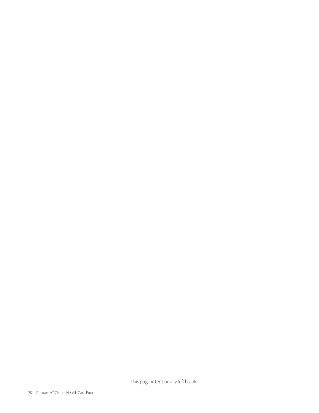This page intentionally left blank.